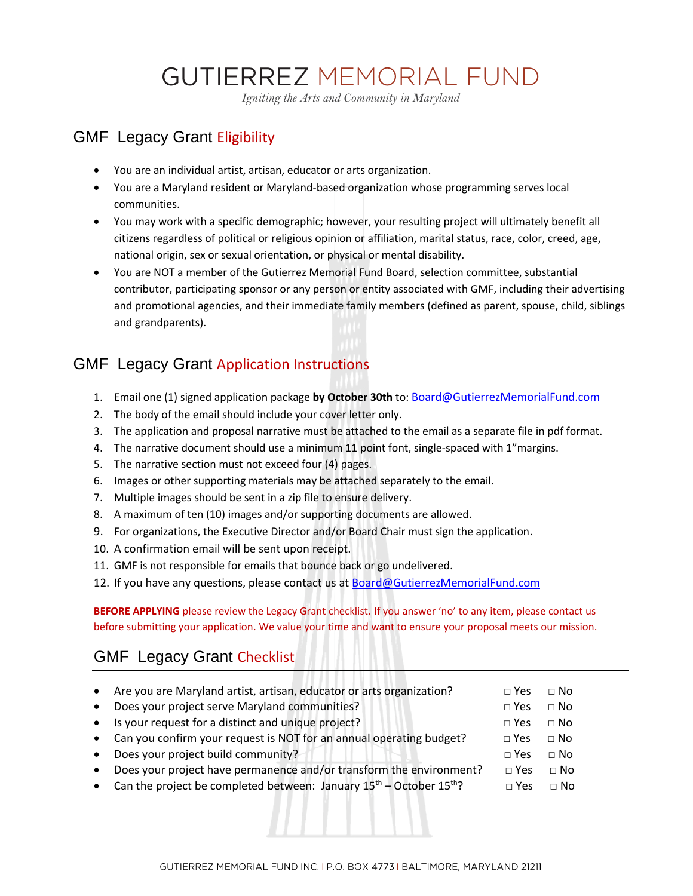# **GUTIERREZ MEMORIAL FUND**

*Igniting the Arts and Community in Maryland*

## GMF Legacy Grant Eligibility

- You are an individual artist, artisan, educator or arts organization.
- You are a Maryland resident or Maryland-based organization whose programming serves local communities.
- You may work with a specific demographic; however, your resulting project will ultimately benefit all citizens regardless of political or religious opinion or affiliation, marital status, race, color, creed, age, national origin, sex or sexual orientation, or physical or mental disability.
- You are NOT a member of the Gutierrez Memorial Fund Board, selection committee, substantial contributor, participating sponsor or any person or entity associated with GMF, including their advertising and promotional agencies, and their immediate family members (defined as parent, spouse, child, siblings and grandparents).

# GMF Legacy Grant Application Instructions

- 1. Email one (1) signed application package **by October 30th** to: [Board@GutierrezMemorialFund.com](mailto:Board@GutierrezMemorialFund.com)
- 2. The body of the email should include your cover letter only.
- 3. The application and proposal narrative must be attached to the email as a separate file in pdf format.
- 4. The narrative document should use a minimum 11 point font, single-spaced with 1"margins.
- 5. The narrative section must not exceed four (4) pages.
- 6. Images or other supporting materials may be attached separately to the email.
- 7. Multiple images should be sent in a zip file to ensure delivery.
- 8. A maximum of ten (10) images and/or supporting documents are allowed.
- 9. For organizations, the Executive Director and/or Board Chair must sign the application.
- 10. A confirmation email will be sent upon receipt.
- 11. GMF is not responsible for emails that bounce back or go undelivered.
- 12. If you have any questions, please contact us at Board@GutierrezMemorialFund.com

**BEFORE APPLYING** please review the Legacy Grant checklist. If you answer 'no' to any item, please contact us before submitting your application. We value your time and want to ensure your proposal meets our mission.

# GMF Legacy Grant Checklist

| $\bullet$ | Are you are Maryland artist, artisan, educator or arts organization?            | $\sqcap$ Yes | $\sqcap$ No |
|-----------|---------------------------------------------------------------------------------|--------------|-------------|
| $\bullet$ | Does your project serve Maryland communities?                                   | $\Box$ Yes   | $\Box$ No   |
|           | • Is your request for a distinct and unique project?                            | $\Box$ Yes   | $\Box$ No   |
|           | • Can you confirm your request is NOT for an annual operating budget?           | $\Box$ Yes   | $\sqcap$ No |
|           | • Does your project build community?                                            | $\Box$ Yes   | $\Box$ No   |
| $\bullet$ | Does your project have permanence and/or transform the environment?             | $\Box$ Yes   | $\Box$ No   |
|           | • Can the project be completed between: January $15^{th}$ – October $15^{th}$ ? | $\Box$ Yes   | $\Box$ No   |
|           |                                                                                 |              |             |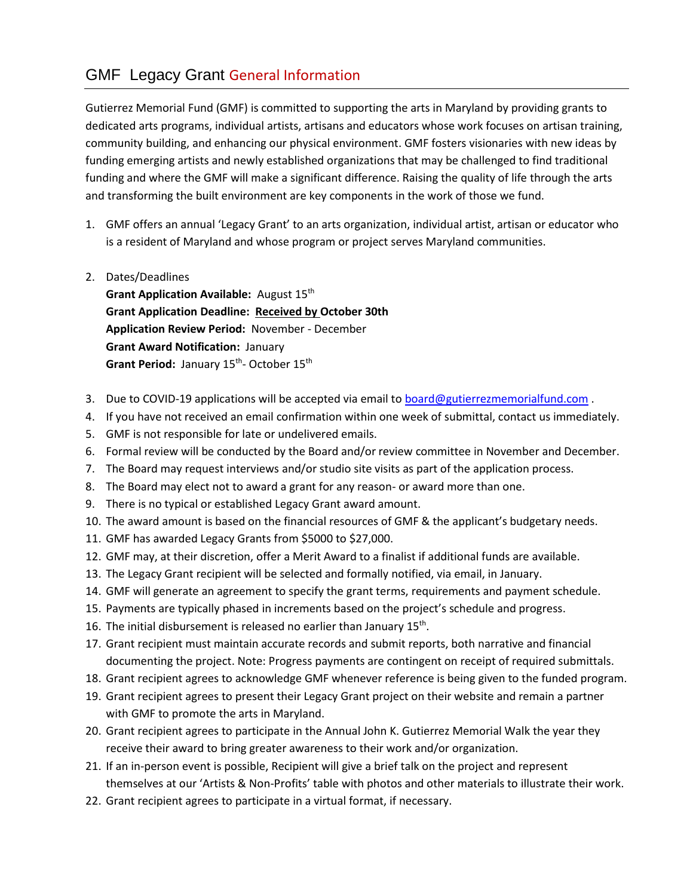# GMF Legacy Grant General Information

Gutierrez Memorial Fund (GMF) is committed to supporting the arts in Maryland by providing grants to dedicated arts programs, individual artists, artisans and educators whose work focuses on artisan training, community building, and enhancing our physical environment. GMF fosters visionaries with new ideas by funding emerging artists and newly established organizations that may be challenged to find traditional funding and where the GMF will make a significant difference. Raising the quality of life through the arts and transforming the built environment are key components in the work of those we fund.

- 1. GMF offers an annual 'Legacy Grant' to an arts organization, individual artist, artisan or educator who is a resident of Maryland and whose program or project serves Maryland communities.
- 2. Dates/Deadlines

**Grant Application Available:** August 15th **Grant Application Deadline: Received by October 30th Application Review Period:** November - December **Grant Award Notification:** January Grant Period: January 15<sup>th</sup>- October 15<sup>th</sup>

- 3. Due to COVID-19 applications will be accepted via email to [board@gutierrezmemorialfund.com](mailto:board@gutierrezmemorialfund.com).
- 4. If you have not received an email confirmation within one week of submittal, contact us immediately.
- 5. GMF is not responsible for late or undelivered emails.
- 6. Formal review will be conducted by the Board and/or review committee in November and December.
- 7. The Board may request interviews and/or studio site visits as part of the application process.
- 8. The Board may elect not to award a grant for any reason- or award more than one.
- 9. There is no typical or established Legacy Grant award amount.
- 10. The award amount is based on the financial resources of GMF & the applicant's budgetary needs.
- 11. GMF has awarded Legacy Grants from \$5000 to \$27,000.
- 12. GMF may, at their discretion, offer a Merit Award to a finalist if additional funds are available.
- 13. The Legacy Grant recipient will be selected and formally notified, via email, in January.
- 14. GMF will generate an agreement to specify the grant terms, requirements and payment schedule.
- 15. Payments are typically phased in increments based on the project's schedule and progress.
- 16. The initial disbursement is released no earlier than January  $15^{th}$ .
- 17. Grant recipient must maintain accurate records and submit reports, both narrative and financial documenting the project. Note: Progress payments are contingent on receipt of required submittals.
- 18. Grant recipient agrees to acknowledge GMF whenever reference is being given to the funded program.
- 19. Grant recipient agrees to present their Legacy Grant project on their website and remain a partner with GMF to promote the arts in Maryland.
- 20. Grant recipient agrees to participate in the Annual John K. Gutierrez Memorial Walk the year they receive their award to bring greater awareness to their work and/or organization.
- 21. If an in-person event is possible, Recipient will give a brief talk on the project and represent themselves at our 'Artists & Non-Profits' table with photos and other materials to illustrate their work.
- 22. Grant recipient agrees to participate in a virtual format, if necessary.